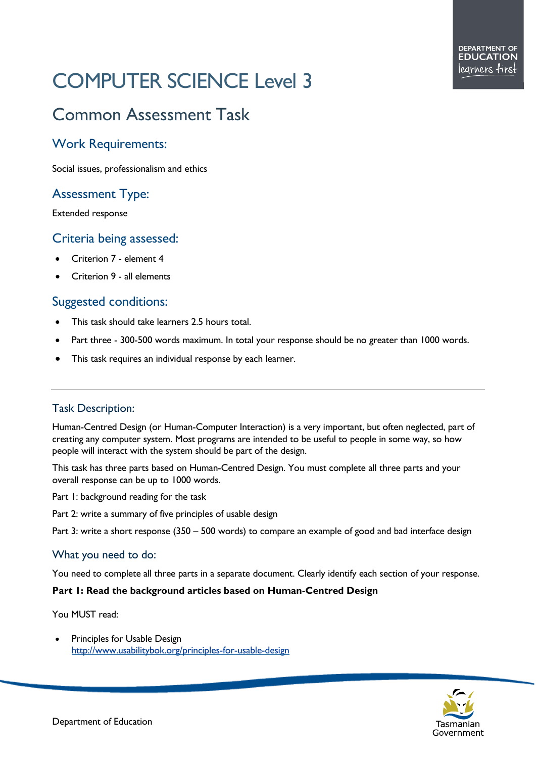# COMPUTER SCIENCE Level 3

# Common Assessment Task

# Work Requirements:

Social issues, professionalism and ethics

# Assessment Type:

Extended response

## Criteria being assessed:

- Criterion 7 element 4
- Criterion 9 all elements

## Suggested conditions:

- This task should take learners 2.5 hours total.
- Part three 300-500 words maximum. In total your response should be no greater than 1000 words.
- This task requires an individual response by each learner.

#### Task Description:

Human-Centred Design (or Human-Computer Interaction) is a very important, but often neglected, part of creating any computer system. Most programs are intended to be useful to people in some way, so how people will interact with the system should be part of the design.

This task has three parts based on Human-Centred Design. You must complete all three parts and your overall response can be up to 1000 words.

Part 1: background reading for the task

Part 2: write a summary of five principles of usable design

Part 3: write a short response (350 – 500 words) to compare an example of good and bad interface design

#### What you need to do:

You need to complete all three parts in a separate document. Clearly identify each section of your response.

#### **Part 1: Read the background articles based on Human-Centred Design**

You MUST read:

Principles for Usable Design <http://www.usabilitybok.org/principles-for-usable-design>